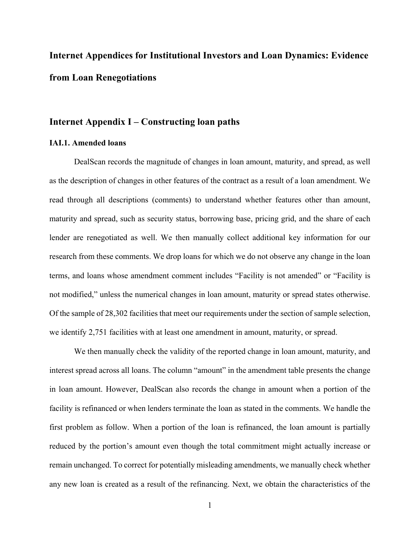# **Internet Appendices for Institutional Investors and Loan Dynamics: Evidence from Loan Renegotiations**

# **Internet Appendix I – Constructing loan paths**

#### **IAI.1. Amended loans**

DealScan records the magnitude of changes in loan amount, maturity, and spread, as well as the description of changes in other features of the contract as a result of a loan amendment. We read through all descriptions (comments) to understand whether features other than amount, maturity and spread, such as security status, borrowing base, pricing grid, and the share of each lender are renegotiated as well. We then manually collect additional key information for our research from these comments. We drop loans for which we do not observe any change in the loan terms, and loans whose amendment comment includes "Facility is not amended" or "Facility is not modified," unless the numerical changes in loan amount, maturity or spread states otherwise. Of the sample of 28,302 facilities that meet our requirements under the section of sample selection, we identify 2,751 facilities with at least one amendment in amount, maturity, or spread.

We then manually check the validity of the reported change in loan amount, maturity, and interest spread across all loans. The column "amount" in the amendment table presents the change in loan amount. However, DealScan also records the change in amount when a portion of the facility is refinanced or when lenders terminate the loan as stated in the comments. We handle the first problem as follow. When a portion of the loan is refinanced, the loan amount is partially reduced by the portion's amount even though the total commitment might actually increase or remain unchanged. To correct for potentially misleading amendments, we manually check whether any new loan is created as a result of the refinancing. Next, we obtain the characteristics of the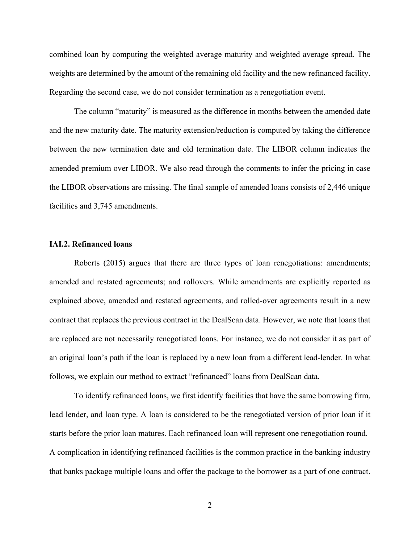combined loan by computing the weighted average maturity and weighted average spread. The weights are determined by the amount of the remaining old facility and the new refinanced facility. Regarding the second case, we do not consider termination as a renegotiation event.

The column "maturity" is measured as the difference in months between the amended date and the new maturity date. The maturity extension/reduction is computed by taking the difference between the new termination date and old termination date. The LIBOR column indicates the amended premium over LIBOR. We also read through the comments to infer the pricing in case the LIBOR observations are missing. The final sample of amended loans consists of 2,446 unique facilities and 3,745 amendments.

#### **IAI.2. Refinanced loans**

 Roberts (2015) argues that there are three types of loan renegotiations: amendments; amended and restated agreements; and rollovers. While amendments are explicitly reported as explained above, amended and restated agreements, and rolled-over agreements result in a new contract that replaces the previous contract in the DealScan data. However, we note that loans that are replaced are not necessarily renegotiated loans. For instance, we do not consider it as part of an original loan's path if the loan is replaced by a new loan from a different lead-lender. In what follows, we explain our method to extract "refinanced" loans from DealScan data.

To identify refinanced loans, we first identify facilities that have the same borrowing firm, lead lender, and loan type. A loan is considered to be the renegotiated version of prior loan if it starts before the prior loan matures. Each refinanced loan will represent one renegotiation round. A complication in identifying refinanced facilities is the common practice in the banking industry that banks package multiple loans and offer the package to the borrower as a part of one contract.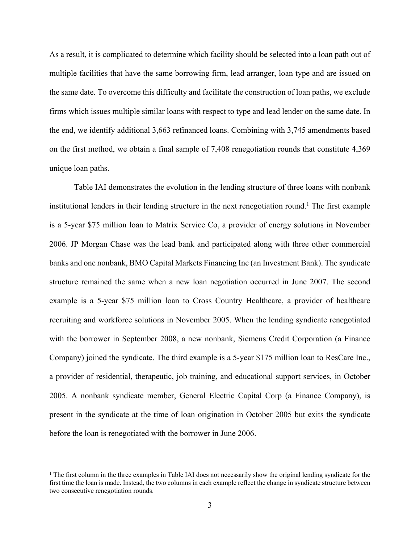As a result, it is complicated to determine which facility should be selected into a loan path out of multiple facilities that have the same borrowing firm, lead arranger, loan type and are issued on the same date. To overcome this difficulty and facilitate the construction of loan paths, we exclude firms which issues multiple similar loans with respect to type and lead lender on the same date. In the end, we identify additional 3,663 refinanced loans. Combining with 3,745 amendments based on the first method, we obtain a final sample of 7,408 renegotiation rounds that constitute 4,369 unique loan paths.

Table IAI demonstrates the evolution in the lending structure of three loans with nonbank institutional lenders in their lending structure in the next renegotiation round.<sup>1</sup> The first example is a 5-year \$75 million loan to Matrix Service Co, a provider of energy solutions in November 2006. JP Morgan Chase was the lead bank and participated along with three other commercial banks and one nonbank, BMO Capital Markets Financing Inc (an Investment Bank). The syndicate structure remained the same when a new loan negotiation occurred in June 2007. The second example is a 5-year \$75 million loan to Cross Country Healthcare, a provider of healthcare recruiting and workforce solutions in November 2005. When the lending syndicate renegotiated with the borrower in September 2008, a new nonbank, Siemens Credit Corporation (a Finance Company) joined the syndicate. The third example is a 5-year \$175 million loan to ResCare Inc., a provider of residential, therapeutic, job training, and educational support services, in October 2005. A nonbank syndicate member, General Electric Capital Corp (a Finance Company), is present in the syndicate at the time of loan origination in October 2005 but exits the syndicate before the loan is renegotiated with the borrower in June 2006.

 $\overline{a}$ 

<sup>&</sup>lt;sup>1</sup> The first column in the three examples in Table IAI does not necessarily show the original lending syndicate for the first time the loan is made. Instead, the two columns in each example reflect the change in syndicate structure between two consecutive renegotiation rounds.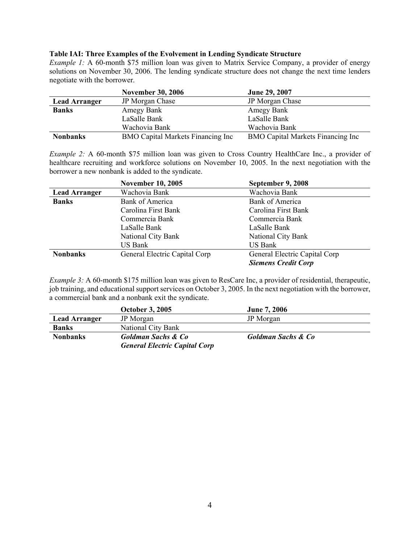#### **Table IAI: Three Examples of the Evolvement in Lending Syndicate Structure**

*Example 1:* A 60-month \$75 million loan was given to Matrix Service Company, a provider of energy solutions on November 30, 2006. The lending syndicate structure does not change the next time lenders negotiate with the borrower.

|                      | <b>November 30, 2006</b>                 | June 29, 2007                            |
|----------------------|------------------------------------------|------------------------------------------|
| <b>Lead Arranger</b> | JP Morgan Chase                          | JP Morgan Chase                          |
| <b>Banks</b>         | Amegy Bank                               | Amegy Bank                               |
|                      | LaSalle Bank                             | LaSalle Bank                             |
|                      | Wachovia Bank                            | Wachovia Bank                            |
| <b>Nonbanks</b>      | <b>BMO Capital Markets Financing Inc</b> | <b>BMO Capital Markets Financing Inc</b> |

*Example 2:* A 60-month \$75 million loan was given to Cross Country HealthCare Inc., a provider of healthcare recruiting and workforce solutions on November 10, 2005. In the next negotiation with the borrower a new nonbank is added to the syndicate.

|                      | <b>November 10, 2005</b>      | September 9, 2008             |
|----------------------|-------------------------------|-------------------------------|
| <b>Lead Arranger</b> | Wachovia Bank                 | Wachovia Bank                 |
| <b>Banks</b>         | <b>Bank of America</b>        | Bank of America               |
|                      | Carolina First Bank           | Carolina First Bank           |
|                      | Commercia Bank                | Commercia Bank                |
|                      | LaSalle Bank                  | LaSalle Bank                  |
|                      | National City Bank            | National City Bank            |
|                      | US Bank                       | <b>US Bank</b>                |
| <b>Nonbanks</b>      | General Electric Capital Corp | General Electric Capital Corp |
|                      |                               | <b>Siemens Credit Corp</b>    |

*Example 3:* A 60-month \$175 million loan was given to ResCare Inc, a provider of residential, therapeutic, job training, and educational support services on October 3, 2005. In the next negotiation with the borrower, a commercial bank and a nonbank exit the syndicate.

|                      | <b>October 3, 2005</b>               | <b>June 7, 2006</b>           |
|----------------------|--------------------------------------|-------------------------------|
| <b>Lead Arranger</b> | JP Morgan                            | JP Morgan                     |
| <b>Banks</b>         | National City Bank                   |                               |
| <b>Nonbanks</b>      | Goldman Sachs & Co                   | <b>Goldman Sachs &amp; Co</b> |
|                      | <b>General Electric Capital Corp</b> |                               |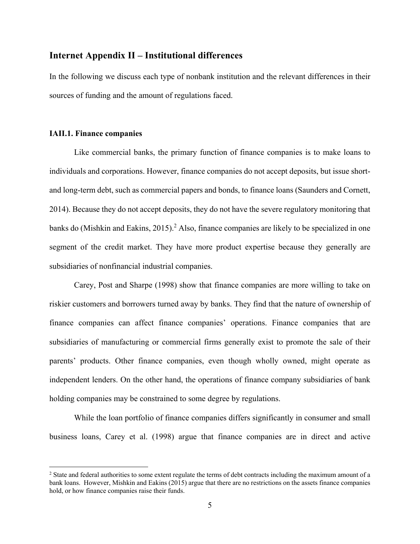# **Internet Appendix II – Institutional differences**

In the following we discuss each type of nonbank institution and the relevant differences in their sources of funding and the amount of regulations faced.

## **IAII.1. Finance companies**

 $\overline{a}$ 

Like commercial banks, the primary function of finance companies is to make loans to individuals and corporations. However, finance companies do not accept deposits, but issue shortand long-term debt, such as commercial papers and bonds, to finance loans (Saunders and Cornett, 2014). Because they do not accept deposits, they do not have the severe regulatory monitoring that banks do (Mishkin and Eakins, 2015).<sup>2</sup> Also, finance companies are likely to be specialized in one segment of the credit market. They have more product expertise because they generally are subsidiaries of nonfinancial industrial companies.

Carey, Post and Sharpe (1998) show that finance companies are more willing to take on riskier customers and borrowers turned away by banks. They find that the nature of ownership of finance companies can affect finance companies' operations. Finance companies that are subsidiaries of manufacturing or commercial firms generally exist to promote the sale of their parents' products. Other finance companies, even though wholly owned, might operate as independent lenders. On the other hand, the operations of finance company subsidiaries of bank holding companies may be constrained to some degree by regulations.

While the loan portfolio of finance companies differs significantly in consumer and small business loans, Carey et al. (1998) argue that finance companies are in direct and active

<sup>&</sup>lt;sup>2</sup> State and federal authorities to some extent regulate the terms of debt contracts including the maximum amount of a bank loans. However, Mishkin and Eakins (2015) argue that there are no restrictions on the assets finance companies hold, or how finance companies raise their funds.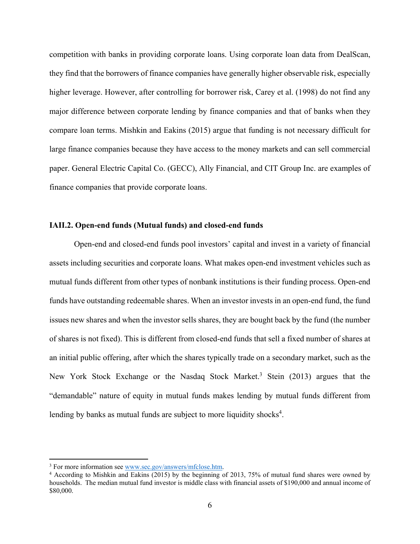competition with banks in providing corporate loans. Using corporate loan data from DealScan, they find that the borrowers of finance companies have generally higher observable risk, especially higher leverage. However, after controlling for borrower risk, Carey et al. (1998) do not find any major difference between corporate lending by finance companies and that of banks when they compare loan terms. Mishkin and Eakins (2015) argue that funding is not necessary difficult for large finance companies because they have access to the money markets and can sell commercial paper. General Electric Capital Co. (GECC), Ally Financial, and CIT Group Inc. are examples of finance companies that provide corporate loans.

## **IAII.2. Open-end funds (Mutual funds) and closed-end funds**

Open-end and closed-end funds pool investors' capital and invest in a variety of financial assets including securities and corporate loans. What makes open-end investment vehicles such as mutual funds different from other types of nonbank institutions is their funding process. Open-end funds have outstanding redeemable shares. When an investor invests in an open-end fund, the fund issues new shares and when the investor sells shares, they are bought back by the fund (the number of shares is not fixed). This is different from closed-end funds that sell a fixed number of shares at an initial public offering, after which the shares typically trade on a secondary market, such as the New York Stock Exchange or the Nasdaq Stock Market.<sup>3</sup> Stein (2013) argues that the "demandable" nature of equity in mutual funds makes lending by mutual funds different from lending by banks as mutual funds are subject to more liquidity shocks<sup>4</sup>.

 $\overline{a}$ 

<sup>&</sup>lt;sup>3</sup> For more information see www.sec.gov/answers/mfclose.htm.<br> $\frac{4 \text{ Acording to Mishkin and Raking (2015) by the beginning of}}{4 \text{ Acording to Mishkin and Rakin (2015) by the beginning of}}$ 

<sup>&</sup>lt;sup>4</sup> According to Mishkin and Eakins (2015) by the beginning of 2013, 75% of mutual fund shares were owned by households. The median mutual fund investor is middle class with financial assets of \$190,000 and annual income of \$80,000.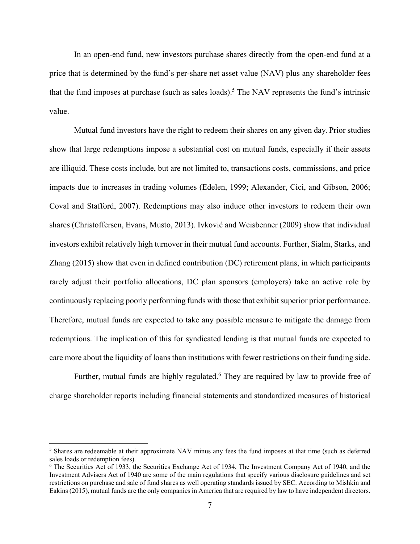In an open-end fund, new investors purchase shares directly from the open-end fund at a price that is determined by the fund's per-share net asset value (NAV) plus any shareholder fees that the fund imposes at purchase (such as sales loads).<sup>5</sup> The NAV represents the fund's intrinsic value.

Mutual fund investors have the right to redeem their shares on any given day. Prior studies show that large redemptions impose a substantial cost on mutual funds, especially if their assets are illiquid. These costs include, but are not limited to, transactions costs, commissions, and price impacts due to increases in trading volumes (Edelen, 1999; Alexander, Cici, and Gibson, 2006; Coval and Stafford, 2007). Redemptions may also induce other investors to redeem their own shares (Christoffersen, Evans, Musto, 2013). Ivković and Weisbenner (2009) show that individual investors exhibit relatively high turnover in their mutual fund accounts. Further, Sialm, Starks, and Zhang (2015) show that even in defined contribution (DC) retirement plans, in which participants rarely adjust their portfolio allocations, DC plan sponsors (employers) take an active role by continuously replacing poorly performing funds with those that exhibit superior prior performance. Therefore, mutual funds are expected to take any possible measure to mitigate the damage from redemptions. The implication of this for syndicated lending is that mutual funds are expected to care more about the liquidity of loans than institutions with fewer restrictions on their funding side.

Further, mutual funds are highly regulated.<sup>6</sup> They are required by law to provide free of charge shareholder reports including financial statements and standardized measures of historical

 $\overline{a}$ 

<sup>&</sup>lt;sup>5</sup> Shares are redeemable at their approximate NAV minus any fees the fund imposes at that time (such as deferred sales loads or redemption fees).

<sup>&</sup>lt;sup>6</sup> The Securities Act of 1933, the Securities Exchange Act of 1934, The Investment Company Act of 1940, and the Investment Advisers Act of 1940 are some of the main regulations that specify various disclosure guidelines and set restrictions on purchase and sale of fund shares as well operating standards issued by SEC. According to Mishkin and Eakins (2015), mutual funds are the only companies in America that are required by law to have independent directors.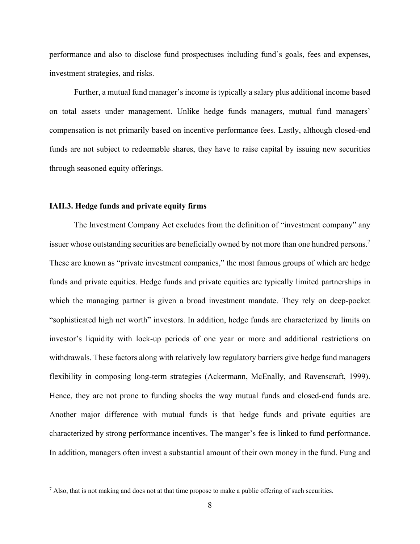performance and also to disclose fund prospectuses including fund's goals, fees and expenses, investment strategies, and risks.

Further, a mutual fund manager's income is typically a salary plus additional income based on total assets under management. Unlike hedge funds managers, mutual fund managers' compensation is not primarily based on incentive performance fees. Lastly, although closed-end funds are not subject to redeemable shares, they have to raise capital by issuing new securities through seasoned equity offerings.

#### **IAII.3. Hedge funds and private equity firms**

1

The Investment Company Act excludes from the definition of "investment company" any issuer whose outstanding securities are beneficially owned by not more than one hundred persons.<sup>7</sup> These are known as "private investment companies," the most famous groups of which are hedge funds and private equities. Hedge funds and private equities are typically limited partnerships in which the managing partner is given a broad investment mandate. They rely on deep-pocket "sophisticated high net worth" investors. In addition, hedge funds are characterized by limits on investor's liquidity with lock-up periods of one year or more and additional restrictions on withdrawals. These factors along with relatively low regulatory barriers give hedge fund managers flexibility in composing long-term strategies (Ackermann, McEnally, and Ravenscraft, 1999). Hence, they are not prone to funding shocks the way mutual funds and closed-end funds are. Another major difference with mutual funds is that hedge funds and private equities are characterized by strong performance incentives. The manger's fee is linked to fund performance. In addition, managers often invest a substantial amount of their own money in the fund. Fung and

<sup>&</sup>lt;sup>7</sup> Also, that is not making and does not at that time propose to make a public offering of such securities.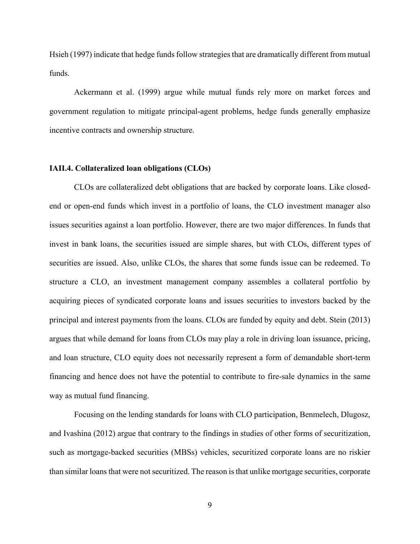Hsieh (1997) indicate that hedge funds follow strategies that are dramatically different from mutual funds.

Ackermann et al. (1999) argue while mutual funds rely more on market forces and government regulation to mitigate principal-agent problems, hedge funds generally emphasize incentive contracts and ownership structure.

#### **IAII.4. Collateralized loan obligations (CLOs)**

CLOs are collateralized debt obligations that are backed by corporate loans. Like closedend or open-end funds which invest in a portfolio of loans, the CLO investment manager also issues securities against a loan portfolio. However, there are two major differences. In funds that invest in bank loans, the securities issued are simple shares, but with CLOs, different types of securities are issued. Also, unlike CLOs, the shares that some funds issue can be redeemed. To structure a CLO, an investment management company assembles a collateral portfolio by acquiring pieces of syndicated corporate loans and issues securities to investors backed by the principal and interest payments from the loans. CLOs are funded by equity and debt. Stein (2013) argues that while demand for loans from CLOs may play a role in driving loan issuance, pricing, and loan structure, CLO equity does not necessarily represent a form of demandable short-term financing and hence does not have the potential to contribute to fire-sale dynamics in the same way as mutual fund financing.

Focusing on the lending standards for loans with CLO participation, Benmelech, Dlugosz, and Ivashina (2012) argue that contrary to the findings in studies of other forms of securitization, such as mortgage-backed securities (MBSs) vehicles, securitized corporate loans are no riskier than similar loans that were not securitized. The reason is that unlike mortgage securities, corporate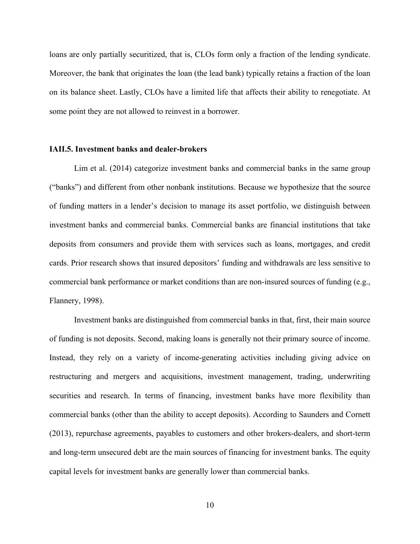loans are only partially securitized, that is, CLOs form only a fraction of the lending syndicate. Moreover, the bank that originates the loan (the lead bank) typically retains a fraction of the loan on its balance sheet. Lastly, CLOs have a limited life that affects their ability to renegotiate. At some point they are not allowed to reinvest in a borrower.

#### **IAII.5. Investment banks and dealer-brokers**

Lim et al. (2014) categorize investment banks and commercial banks in the same group ("banks") and different from other nonbank institutions. Because we hypothesize that the source of funding matters in a lender's decision to manage its asset portfolio, we distinguish between investment banks and commercial banks. Commercial banks are financial institutions that take deposits from consumers and provide them with services such as loans, mortgages, and credit cards. Prior research shows that insured depositors' funding and withdrawals are less sensitive to commercial bank performance or market conditions than are non-insured sources of funding (e.g., Flannery, 1998).

Investment banks are distinguished from commercial banks in that, first, their main source of funding is not deposits. Second, making loans is generally not their primary source of income. Instead, they rely on a variety of income-generating activities including giving advice on restructuring and mergers and acquisitions, investment management, trading, underwriting securities and research. In terms of financing, investment banks have more flexibility than commercial banks (other than the ability to accept deposits). According to Saunders and Cornett (2013), repurchase agreements, payables to customers and other brokers-dealers, and short-term and long-term unsecured debt are the main sources of financing for investment banks. The equity capital levels for investment banks are generally lower than commercial banks.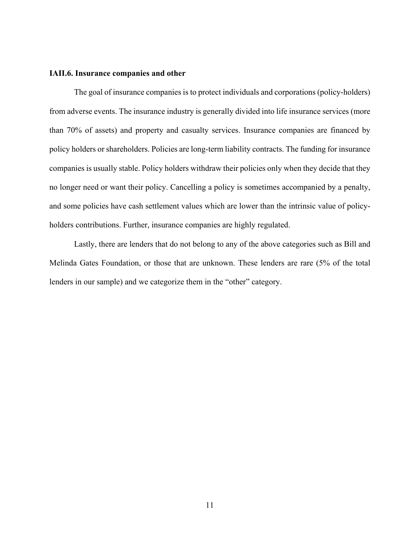#### **IAII.6. Insurance companies and other**

The goal of insurance companies is to protect individuals and corporations (policy-holders) from adverse events. The insurance industry is generally divided into life insurance services (more than 70% of assets) and property and casualty services. Insurance companies are financed by policy holders or shareholders. Policies are long-term liability contracts. The funding for insurance companies is usually stable. Policy holders withdraw their policies only when they decide that they no longer need or want their policy. Cancelling a policy is sometimes accompanied by a penalty, and some policies have cash settlement values which are lower than the intrinsic value of policyholders contributions. Further, insurance companies are highly regulated.

Lastly, there are lenders that do not belong to any of the above categories such as Bill and Melinda Gates Foundation, or those that are unknown. These lenders are rare (5% of the total lenders in our sample) and we categorize them in the "other" category.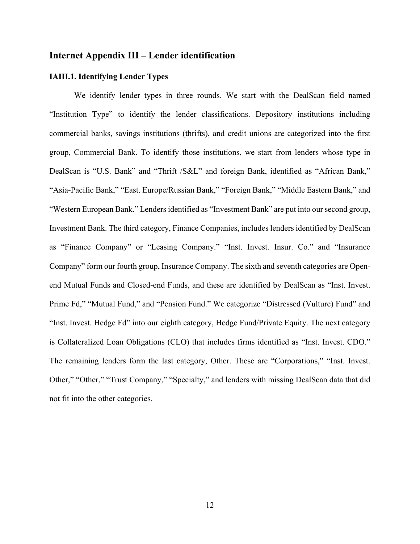# **Internet Appendix III – Lender identification**

## **IAIII.1. Identifying Lender Types**

We identify lender types in three rounds. We start with the DealScan field named "Institution Type" to identify the lender classifications. Depository institutions including commercial banks, savings institutions (thrifts), and credit unions are categorized into the first group, Commercial Bank. To identify those institutions, we start from lenders whose type in DealScan is "U.S. Bank" and "Thrift /S&L" and foreign Bank, identified as "African Bank," "Asia-Pacific Bank," "East. Europe/Russian Bank," "Foreign Bank," "Middle Eastern Bank," and "Western European Bank." Lenders identified as "Investment Bank" are put into our second group, Investment Bank. The third category, Finance Companies, includes lenders identified by DealScan as "Finance Company" or "Leasing Company." "Inst. Invest. Insur. Co." and "Insurance Company" form our fourth group, Insurance Company. The sixth and seventh categories are Openend Mutual Funds and Closed-end Funds, and these are identified by DealScan as "Inst. Invest. Prime Fd," "Mutual Fund," and "Pension Fund." We categorize "Distressed (Vulture) Fund" and "Inst. Invest. Hedge Fd" into our eighth category, Hedge Fund/Private Equity. The next category is Collateralized Loan Obligations (CLO) that includes firms identified as "Inst. Invest. CDO." The remaining lenders form the last category, Other. These are "Corporations," "Inst. Invest. Other," "Other," "Trust Company," "Specialty," and lenders with missing DealScan data that did not fit into the other categories.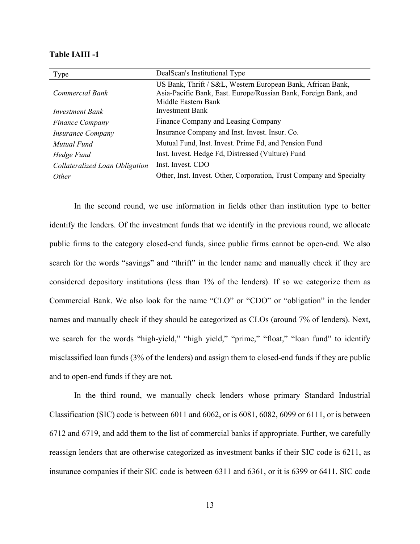| Type                           | DealScan's Institutional Type                                                                                                  |
|--------------------------------|--------------------------------------------------------------------------------------------------------------------------------|
| Commercial Bank                | US Bank, Thrift / S&L, Western European Bank, African Bank,<br>Asia-Pacific Bank, East. Europe/Russian Bank, Foreign Bank, and |
|                                | Middle Eastern Bank                                                                                                            |
| Investment Bank                | Investment Bank                                                                                                                |
| <b>Finance Company</b>         | Finance Company and Leasing Company                                                                                            |
| <i>Insurance Company</i>       | Insurance Company and Inst. Invest. Insur. Co.                                                                                 |
| Mutual Fund                    | Mutual Fund, Inst. Invest. Prime Fd, and Pension Fund                                                                          |
| Hedge Fund                     | Inst. Invest. Hedge Fd, Distressed (Vulture) Fund                                                                              |
| Collateralized Loan Obligation | Inst. Invest. CDO                                                                                                              |
| <i>Other</i>                   | Other, Inst. Invest. Other, Corporation, Trust Company and Specialty                                                           |

#### **Table IAIII -1**

In the second round, we use information in fields other than institution type to better identify the lenders. Of the investment funds that we identify in the previous round, we allocate public firms to the category closed-end funds, since public firms cannot be open-end. We also search for the words "savings" and "thrift" in the lender name and manually check if they are considered depository institutions (less than 1% of the lenders). If so we categorize them as Commercial Bank. We also look for the name "CLO" or "CDO" or "obligation" in the lender names and manually check if they should be categorized as CLOs (around 7% of lenders). Next, we search for the words "high-yield," "high yield," "prime," "float," "loan fund" to identify misclassified loan funds (3% of the lenders) and assign them to closed-end funds if they are public and to open-end funds if they are not.

In the third round, we manually check lenders whose primary Standard Industrial Classification (SIC) code is between 6011 and 6062, or is 6081, 6082, 6099 or 6111, or is between 6712 and 6719, and add them to the list of commercial banks if appropriate. Further, we carefully reassign lenders that are otherwise categorized as investment banks if their SIC code is 6211, as insurance companies if their SIC code is between 6311 and 6361, or it is 6399 or 6411. SIC code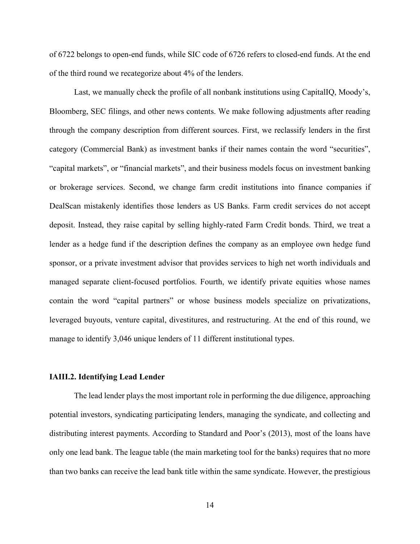of 6722 belongs to open-end funds, while SIC code of 6726 refers to closed-end funds. At the end of the third round we recategorize about 4% of the lenders.

Last, we manually check the profile of all nonbank institutions using CapitalIQ, Moody's, Bloomberg, SEC filings, and other news contents. We make following adjustments after reading through the company description from different sources. First, we reclassify lenders in the first category (Commercial Bank) as investment banks if their names contain the word "securities", "capital markets", or "financial markets", and their business models focus on investment banking or brokerage services. Second, we change farm credit institutions into finance companies if DealScan mistakenly identifies those lenders as US Banks. Farm credit services do not accept deposit. Instead, they raise capital by selling highly-rated Farm Credit bonds. Third, we treat a lender as a hedge fund if the description defines the company as an employee own hedge fund sponsor, or a private investment advisor that provides services to high net worth individuals and managed separate client-focused portfolios. Fourth, we identify private equities whose names contain the word "capital partners" or whose business models specialize on privatizations, leveraged buyouts, venture capital, divestitures, and restructuring. At the end of this round, we manage to identify 3,046 unique lenders of 11 different institutional types.

#### **IAIII.2. Identifying Lead Lender**

The lead lender plays the most important role in performing the due diligence, approaching potential investors, syndicating participating lenders, managing the syndicate, and collecting and distributing interest payments. According to Standard and Poor's (2013), most of the loans have only one lead bank. The league table (the main marketing tool for the banks) requires that no more than two banks can receive the lead bank title within the same syndicate. However, the prestigious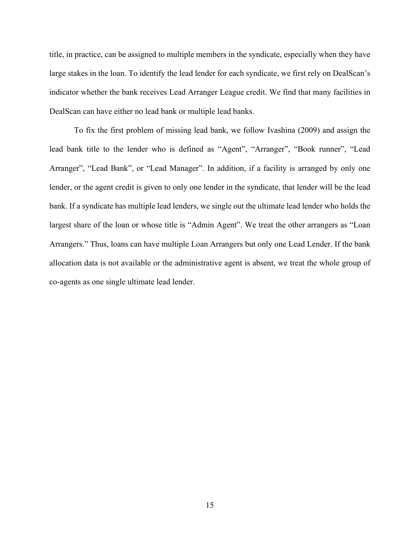title, in practice, can be assigned to multiple members in the syndicate, especially when they have large stakes in the loan. To identify the lead lender for each syndicate, we first rely on DealScan's indicator whether the bank receives Lead Arranger League credit. We find that many facilities in DealScan can have either no lead bank or multiple lead banks.

To fix the first problem of missing lead bank, we follow Ivashina (2009) and assign the lead bank title to the lender who is defined as "Agent", "Arranger", "Book runner", "Lead Arranger", "Lead Bank", or "Lead Manager". In addition, if a facility is arranged by only one lender, or the agent credit is given to only one lender in the syndicate, that lender will be the lead bank. If a syndicate has multiple lead lenders, we single out the ultimate lead lender who holds the largest share of the loan or whose title is "Admin Agent". We treat the other arrangers as "Loan Arrangers." Thus, loans can have multiple Loan Arrangers but only one Lead Lender. If the bank allocation data is not available or the administrative agent is absent, we treat the whole group of co-agents as one single ultimate lead lender.